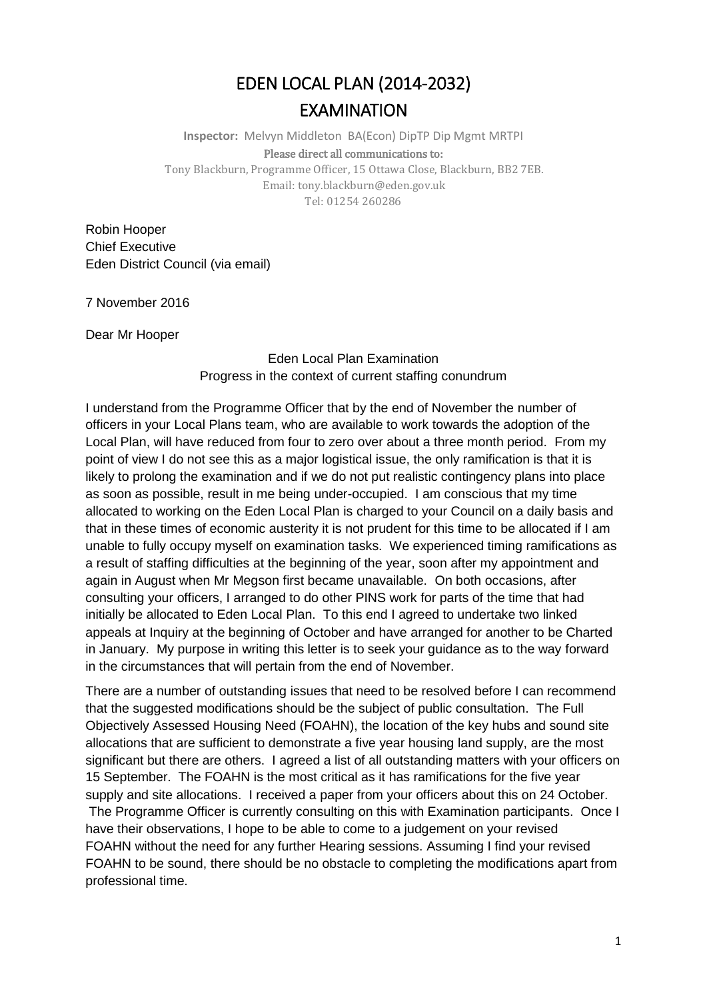## EDEN LOCAL PLAN (2014-2032) EXAMINATION

**Inspector:** Melvyn Middleton BA(Econ) DipTP Dip Mgmt MRTPI Please direct all communications to: Tony Blackburn, Programme Officer, 15 Ottawa Close, Blackburn, BB2 7EB. Email: tony.blackburn@eden.gov.uk

Tel: 01254 260286

Robin Hooper Chief Executive Eden District Council (via email)

7 November 2016

Dear Mr Hooper

Eden Local Plan Examination Progress in the context of current staffing conundrum

I understand from the Programme Officer that by the end of November the number of officers in your Local Plans team, who are available to work towards the adoption of the Local Plan, will have reduced from four to zero over about a three month period. From my point of view I do not see this as a major logistical issue, the only ramification is that it is likely to prolong the examination and if we do not put realistic contingency plans into place as soon as possible, result in me being under-occupied. I am conscious that my time allocated to working on the Eden Local Plan is charged to your Council on a daily basis and that in these times of economic austerity it is not prudent for this time to be allocated if I am unable to fully occupy myself on examination tasks. We experienced timing ramifications as a result of staffing difficulties at the beginning of the year, soon after my appointment and again in August when Mr Megson first became unavailable. On both occasions, after consulting your officers, I arranged to do other PINS work for parts of the time that had initially be allocated to Eden Local Plan. To this end I agreed to undertake two linked appeals at Inquiry at the beginning of October and have arranged for another to be Charted in January. My purpose in writing this letter is to seek your guidance as to the way forward in the circumstances that will pertain from the end of November.

There are a number of outstanding issues that need to be resolved before I can recommend that the suggested modifications should be the subject of public consultation. The Full Objectively Assessed Housing Need (FOAHN), the location of the key hubs and sound site allocations that are sufficient to demonstrate a five year housing land supply, are the most significant but there are others. I agreed a list of all outstanding matters with your officers on 15 September. The FOAHN is the most critical as it has ramifications for the five year supply and site allocations. I received a paper from your officers about this on 24 October. The Programme Officer is currently consulting on this with Examination participants. Once I have their observations, I hope to be able to come to a judgement on your revised FOAHN without the need for any further Hearing sessions. Assuming I find your revised FOAHN to be sound, there should be no obstacle to completing the modifications apart from professional time.